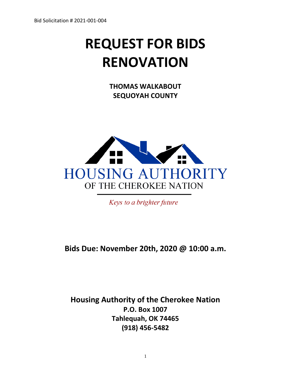# **REQUEST FOR BIDS RENOVATION**

**THOMAS WALKABOUT SEQUOYAH COUNTY**



Keys to a brighter future

# **Bids Due: November 20th, 2020 @ 10:00 a.m.**

# **Housing Authority of the Cherokee Nation P.O. Box 1007 Tahlequah, OK 74465 (918) 456-5482**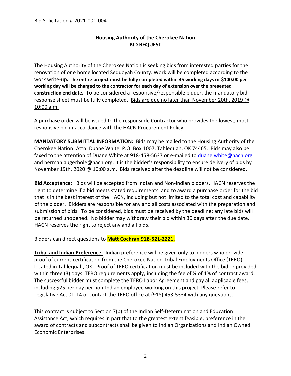## **Housing Authority of the Cherokee Nation BID REQUEST**

The Housing Authority of the Cherokee Nation is seeking bids from interested parties for the renovation of one home located Sequoyah County. Work will be completed according to the work write-up**. The entire project must be fully completed within 45 working days or \$100.00 per working day will be charged to the contractor for each day of extension over the presented construction end date.** To be considered a responsive/responsible bidder, the mandatory bid response sheet must be fully completed. Bids are due no later than November 20th, 2019 @ 10:00 a.m.

A purchase order will be issued to the responsible Contractor who provides the lowest, most responsive bid in accordance with the HACN Procurement Policy.

**MANDATORY SUBMITTAL INFORMATION:** Bids may be mailed to the Housing Authority of the Cherokee Nation, Attn: Duane White, P.O. Box 1007, Tahlequah, OK 74465. Bids may also be faxed to the attention of Duane White at 918-458-5637 or e-mailed to [duane.white@hacn.org](mailto:duane.white@hacn.org) and herman.augerhole@hacn.org. It is the bidder's responsibility to ensure delivery of bids by November 19th, 2020 @ 10:00 a.m. Bids received after the deadline will not be considered.

**Bid Acceptance:** Bids will be accepted from Indian and Non-Indian bidders. HACN reserves the right to determine if a bid meets stated requirements, and to award a purchase order for the bid that is in the best interest of the HACN, including but not limited to the total cost and capability of the bidder. Bidders are responsible for any and all costs associated with the preparation and submission of bids. To be considered, bids must be received by the deadline; any late bids will be returned unopened. No bidder may withdraw their bid within 30 days after the due date. HACN reserves the right to reject any and all bids.

Bidders can direct questions to **Matt Cochran 918-521-2221.**

**Tribal and Indian Preference:** Indian preference will be given only to bidders who provide proof of current certification from the Cherokee Nation Tribal Employments Office (TERO) located in Tahlequah, OK. Proof of TERO certification must be included with the bid or provided within three (3) days. TERO requirements apply, including the fee of  $\frac{1}{2}$  of 1% of contract award. The successful bidder must complete the TERO Labor Agreement and pay all applicable fees, including \$25 per day per non-Indian employee working on this project. Please refer to Legislative Act 01-14 or contact the TERO office at (918) 453-5334 with any questions.

This contract is subject to Section 7(b) of the Indian Self-Determination and Education Assistance Act, which requires in part that to the greatest extent feasible, preference in the award of contracts and subcontracts shall be given to Indian Organizations and Indian Owned Economic Enterprises.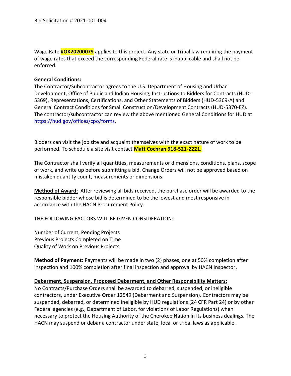Wage Rate **#OK20200079** applies to this project. Any state or Tribal law requiring the payment of wage rates that exceed the corresponding Federal rate is inapplicable and shall not be enforced.

#### **General Conditions:**

The Contractor/Subcontractor agrees to the U.S. Department of Housing and Urban Development, Office of Public and Indian Housing, Instructions to Bidders for Contracts (HUD-5369), Representations, Certifications, and Other Statements of Bidders (HUD-5369-A) and General Contract Conditions for Small Construction/Development Contracts (HUD-5370-EZ). The contractor/subcontractor can review the above mentioned General Conditions for HUD at [https://hud.gov/offices/cpo/forms.](https://hud.gov/offices/cpo/forms)

Bidders can visit the job site and acquaint themselves with the exact nature of work to be performed. To schedule a site visit contact **Matt Cochran 918-521-2221.**

The Contractor shall verify all quantities, measurements or dimensions, conditions, plans, scope of work, and write up before submitting a bid. Change Orders will not be approved based on mistaken quantity count, measurements or dimensions.

**Method of Award:** After reviewing all bids received, the purchase order will be awarded to the responsible bidder whose bid is determined to be the lowest and most responsive in accordance with the HACN Procurement Policy.

THE FOLLOWING FACTORS WILL BE GIVEN CONSIDERATION:

Number of Current, Pending Projects Previous Projects Completed on Time Quality of Work on Previous Projects

**Method of Payment:** Payments will be made in two (2) phases, one at 50% completion after inspection and 100% completion after final inspection and approval by HACN Inspector.

#### **Debarment, Suspension, Proposed Debarment, and Other Responsibility Matters:**

No Contracts/Purchase Orders shall be awarded to debarred, suspended, or ineligible contractors, under Executive Order 12549 (Debarment and Suspension). Contractors may be suspended, debarred, or determined ineligible by HUD regulations (24 CFR Part 24) or by other Federal agencies (e.g., Department of Labor, for violations of Labor Regulations) when necessary to protect the Housing Authority of the Cherokee Nation in its business dealings. The HACN may suspend or debar a contractor under state, local or tribal laws as applicable.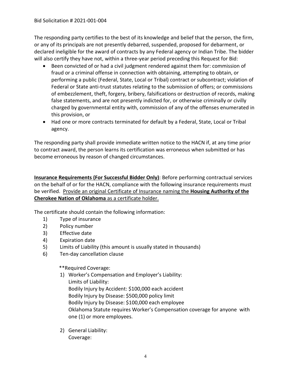The responding party certifies to the best of its knowledge and belief that the person, the firm, or any of its principals are not presently debarred, suspended, proposed for debarment, or declared ineligible for the award of contracts by any Federal agency or Indian Tribe. The bidder will also certify they have not, within a three-year period preceding this Request for Bid:

- Been convicted of or had a civil judgment rendered against them for: commission of fraud or a criminal offense in connection with obtaining, attempting to obtain, or performing a public (Federal, State, Local or Tribal) contract or subcontract; violation of Federal or State anti-trust statutes relating to the submission of offers; or commissions of embezzlement, theft, forgery, bribery, falsifications or destruction of records, making false statements, and are not presently indicted for, or otherwise criminally or civilly charged by governmental entity with, commission of any of the offenses enumerated in this provision, or
- Had one or more contracts terminated for default by a Federal, State, Local or Tribal agency.

The responding party shall provide immediate written notice to the HACN if, at any time prior to contract award, the person learns its certification was erroneous when submitted or has become erroneous by reason of changed circumstances.

**Insurance Requirements (For Successful Bidder Only)**: Before performing contractual services on the behalf of or for the HACN, compliance with the following insurance requirements must be verified. Provide an original Certificate of Insurance naming the **Housing Authority of the Cherokee Nation of Oklahoma** as a certificate holder.

The certificate should contain the following information:

- 1) Type of insurance
- 2) Policy number
- 3) Effective date
- 4) Expiration date
- 5) Limits of Liability (this amount is usually stated in thousands)
- 6) Ten-day cancellation clause

\*\*Required Coverage:

- 1) Worker's Compensation and Employer's Liability: Limits of Liability: Bodily Injury by Accident: \$100,000 each accident Bodily Injury by Disease: \$500,000 policy limit Bodily Injury by Disease: \$100,000 each employee Oklahoma Statute requires Worker's Compensation coverage for anyone with one (1) or more employees.
- 2) General Liability: Coverage: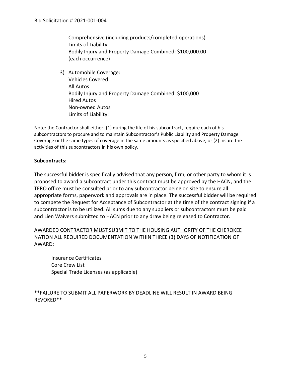Comprehensive (including products/completed operations) Limits of Liability: Bodily Injury and Property Damage Combined: \$100,000.00 (each occurrence)

3) Automobile Coverage: Vehicles Covered: All Autos Bodily Injury and Property Damage Combined: \$100,000 Hired Autos Non-owned Autos Limits of Liability:

Note: the Contractor shall either: (1) during the life of his subcontract, require each of his subcontractors to procure and to maintain Subcontractor's Public Liability and Property Damage Coverage or the same types of coverage in the same amounts as specified above, or (2) insure the activities of this subcontractors in his own policy.

#### **Subcontracts:**

The successful bidder is specifically advised that any person, firm, or other party to whom it is proposed to award a subcontract under this contract must be approved by the HACN, and the TERO office must be consulted prior to any subcontractor being on site to ensure all appropriate forms, paperwork and approvals are in place. The successful bidder will be required to compete the Request for Acceptance of Subcontractor at the time of the contract signing if a subcontractor is to be utilized. All sums due to any suppliers or subcontractors must be paid and Lien Waivers submitted to HACN prior to any draw being released to Contractor.

## AWARDED CONTRACTOR MUST SUBMIT TO THE HOUSING AUTHORITY OF THE CHEROKEE NATION ALL REQUIRED DOCUMENTATION WITHIN THREE (3) DAYS OF NOTIFICATION OF AWARD:

Insurance Certificates Core Crew List Special Trade Licenses (as applicable)

## \*\*FAILURE TO SUBMIT ALL PAPERWORK BY DEADLINE WILL RESULT IN AWARD BEING REVOKED\*\*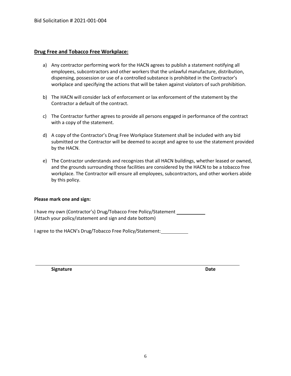#### **Drug Free and Tobacco Free Workplace:**

- a) Any contractor performing work for the HACN agrees to publish a statement notifying all employees, subcontractors and other workers that the unlawful manufacture, distribution, dispensing, possession or use of a controlled substance is prohibited in the Contractor's workplace and specifying the actions that will be taken against violators of such prohibition.
- b) The HACN will consider lack of enforcement or lax enforcement of the statement by the Contractor a default of the contract.
- c) The Contractor further agrees to provide all persons engaged in performance of the contract with a copy of the statement.
- d) A copy of the Contractor's Drug Free Workplace Statement shall be included with any bid submitted or the Contractor will be deemed to accept and agree to use the statement provided by the HACN.
- e) The Contractor understands and recognizes that all HACN buildings, whether leased or owned, and the grounds surrounding those facilities are considered by the HACN to be a tobacco free workplace. The Contractor will ensure all employees, subcontractors, and other workers abide by this policy.

#### **Please mark one and sign:**

I have my own (Contractor's) Drug/Tobacco Free Policy/Statement (Attach your policy/statement and sign and date bottom)

I agree to the HACN's Drug/Tobacco Free Policy/Statement:

**Signature Date**